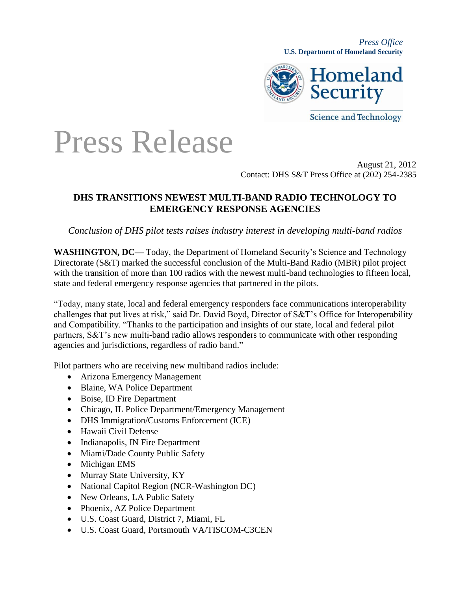*Press Office* **U.S. Department of Homeland Security**



**Science and Technology** 

## Press Release

August 21, 2012 Contact: DHS S&T Press Office at (202) 254-2385

## **DHS TRANSITIONS NEWEST MULTI-BAND RADIO TECHNOLOGY TO EMERGENCY RESPONSE AGENCIES**

*Conclusion of DHS pilot tests raises industry interest in developing multi-band radios*

**WASHINGTON, DC—** Today, the Department of Homeland Security's Science and Technology Directorate (S&T) marked the successful conclusion of the Multi-Band Radio (MBR) pilot project with the transition of more than 100 radios with the newest multi-band technologies to fifteen local, state and federal emergency response agencies that partnered in the pilots.

"Today, many state, local and federal emergency responders face communications interoperability challenges that put lives at risk," said Dr. David Boyd, Director of S&T's Office for Interoperability and Compatibility. "Thanks to the participation and insights of our state, local and federal pilot partners, S&T's new multi-band radio allows responders to communicate with other responding agencies and jurisdictions, regardless of radio band."

Pilot partners who are receiving new multiband radios include:

- Arizona Emergency Management
- Blaine, WA Police Department
- Boise, ID Fire Department
- Chicago, IL Police Department/Emergency Management
- DHS Immigration/Customs Enforcement (ICE)
- Hawaii Civil Defense
- Indianapolis, IN Fire Department
- Miami/Dade County Public Safety
- Michigan EMS
- Murray State University, KY
- National Capitol Region (NCR-Washington DC)
- New Orleans, LA Public Safety
- Phoenix, AZ Police Department
- U.S. Coast Guard, District 7, Miami, FL
- U.S. Coast Guard, Portsmouth VA/TISCOM-C3CEN